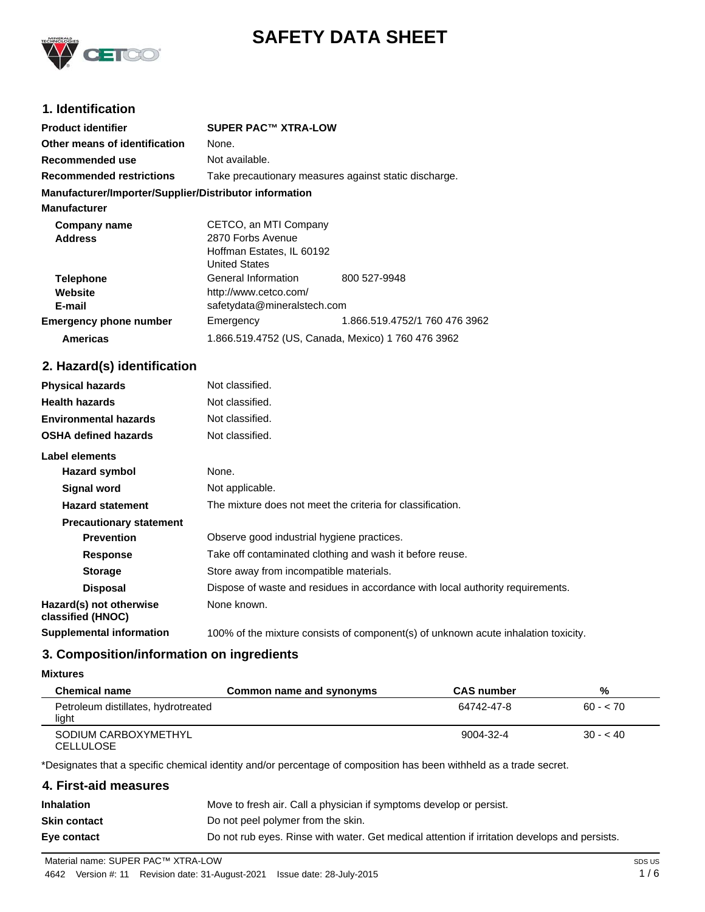

# **SAFETY DATA SHEET**

# **1. Identification**

| <b>Product identifier</b>                              | <b>SUPER PAC™ XTRA-LOW</b>                            |                               |
|--------------------------------------------------------|-------------------------------------------------------|-------------------------------|
| Other means of identification                          | None.                                                 |                               |
| Recommended use                                        | Not available.                                        |                               |
| <b>Recommended restrictions</b>                        | Take precautionary measures against static discharge. |                               |
| Manufacturer/Importer/Supplier/Distributor information |                                                       |                               |
| <b>Manufacturer</b>                                    |                                                       |                               |
| Company name                                           | CETCO, an MTI Company                                 |                               |
| <b>Address</b>                                         | 2870 Forbs Avenue<br>Hoffman Estates, IL 60192        |                               |
|                                                        |                                                       |                               |
|                                                        | <b>United States</b>                                  |                               |
| <b>Telephone</b>                                       | General Information                                   | 800 527-9948                  |
| Website                                                | http://www.cetco.com/                                 |                               |
| E-mail                                                 | safetydata@mineralstech.com                           |                               |
| <b>Emergency phone number</b>                          | Emergency                                             | 1.866.519.4752/1 760 476 3962 |
| <b>Americas</b>                                        | 1.866.519.4752 (US, Canada, Mexico) 1 760 476 3962    |                               |

# **2. Hazard(s) identification**

| <b>Physical hazards</b>                      | Not classified.                                                                    |
|----------------------------------------------|------------------------------------------------------------------------------------|
| <b>Health hazards</b>                        | Not classified.                                                                    |
| <b>Environmental hazards</b>                 | Not classified.                                                                    |
| <b>OSHA defined hazards</b>                  | Not classified.                                                                    |
| Label elements                               |                                                                                    |
| Hazard symbol                                | None.                                                                              |
| Signal word                                  | Not applicable.                                                                    |
| <b>Hazard statement</b>                      | The mixture does not meet the criteria for classification.                         |
| <b>Precautionary statement</b>               |                                                                                    |
| <b>Prevention</b>                            | Observe good industrial hygiene practices.                                         |
| <b>Response</b>                              | Take off contaminated clothing and wash it before reuse.                           |
| <b>Storage</b>                               | Store away from incompatible materials.                                            |
| <b>Disposal</b>                              | Dispose of waste and residues in accordance with local authority requirements.     |
| Hazard(s) not otherwise<br>classified (HNOC) | None known.                                                                        |
| <b>Supplemental information</b>              | 100% of the mixture consists of component(s) of unknown acute inhalation toxicity. |

# **3. Composition/information on ingredients**

### **Mixtures**

| <b>Chemical name</b>                         | Common name and synonyms | <b>CAS</b> number | %         |
|----------------------------------------------|--------------------------|-------------------|-----------|
| Petroleum distillates, hydrotreated<br>light |                          | 64742-47-8        | $60 - 70$ |
| SODIUM CARBOXYMETHYL<br><b>CELLULOSE</b>     |                          | 9004-32-4         | $30 - 40$ |

\*Designates that a specific chemical identity and/or percentage of composition has been withheld as a trade secret.

| 4. First-aid measures |                                                                                               |
|-----------------------|-----------------------------------------------------------------------------------------------|
| Inhalation            | Move to fresh air. Call a physician if symptoms develop or persist.                           |
| Skin contact          | Do not peel polymer from the skin.                                                            |
| Eye contact           | Do not rub eyes. Rinse with water. Get medical attention if irritation develops and persists. |
|                       |                                                                                               |

Material name: SUPER PAC™ XTRA-LOW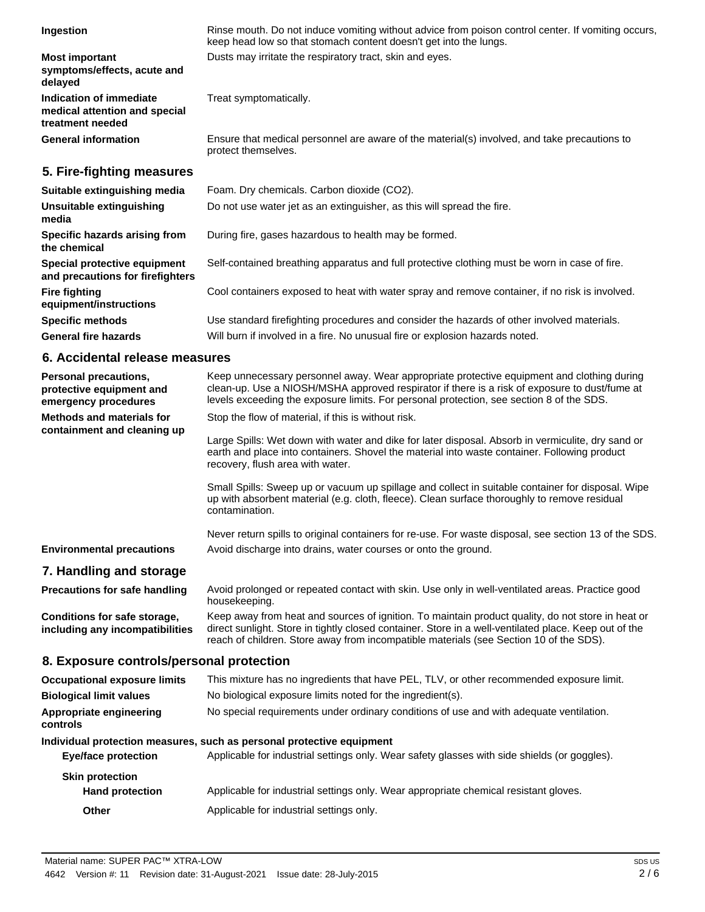| Ingestion                                                                           | Rinse mouth. Do not induce vomiting without advice from poison control center. If vomiting occurs,<br>keep head low so that stomach content doesn't get into the lungs. |
|-------------------------------------------------------------------------------------|-------------------------------------------------------------------------------------------------------------------------------------------------------------------------|
| <b>Most important</b><br>symptoms/effects, acute and<br>delaved                     | Dusts may irritate the respiratory tract, skin and eyes.                                                                                                                |
| <b>Indication of immediate</b><br>medical attention and special<br>treatment needed | Treat symptomatically.                                                                                                                                                  |
| <b>General information</b>                                                          | Ensure that medical personnel are aware of the material(s) involved, and take precautions to<br>protect themselves.                                                     |

# **5. Fire-fighting measures**

| Suitable extinguishing media                                     | Foam. Dry chemicals. Carbon dioxide (CO2).                                                     |
|------------------------------------------------------------------|------------------------------------------------------------------------------------------------|
| Unsuitable extinguishing<br>media                                | Do not use water jet as an extinguisher, as this will spread the fire.                         |
| Specific hazards arising from<br>the chemical                    | During fire, gases hazardous to health may be formed.                                          |
| Special protective equipment<br>and precautions for firefighters | Self-contained breathing apparatus and full protective clothing must be worn in case of fire.  |
| <b>Fire fighting</b><br>equipment/instructions                   | Cool containers exposed to heat with water spray and remove container, if no risk is involved. |
| <b>Specific methods</b>                                          | Use standard firefighting procedures and consider the hazards of other involved materials.     |
| <b>General fire hazards</b>                                      | Will burn if involved in a fire. No unusual fire or explosion hazards noted.                   |

# **6. Accidental release measures**

| Personal precautions,<br>protective equipment and<br>emergency procedures | Keep unnecessary personnel away. Wear appropriate protective equipment and clothing during<br>clean-up. Use a NIOSH/MSHA approved respirator if there is a risk of exposure to dust/fume at<br>levels exceeding the exposure limits. For personal protection, see section 8 of the SDS.              |  |
|---------------------------------------------------------------------------|------------------------------------------------------------------------------------------------------------------------------------------------------------------------------------------------------------------------------------------------------------------------------------------------------|--|
| <b>Methods and materials for</b>                                          | Stop the flow of material, if this is without risk.                                                                                                                                                                                                                                                  |  |
| containment and cleaning up                                               | Large Spills: Wet down with water and dike for later disposal. Absorb in vermiculite, dry sand or<br>earth and place into containers. Shovel the material into waste container. Following product<br>recovery, flush area with water.                                                                |  |
|                                                                           | Small Spills: Sweep up or vacuum up spillage and collect in suitable container for disposal. Wipe<br>up with absorbent material (e.g. cloth, fleece). Clean surface thoroughly to remove residual<br>contamination.                                                                                  |  |
|                                                                           | Never return spills to original containers for re-use. For waste disposal, see section 13 of the SDS.                                                                                                                                                                                                |  |
| <b>Environmental precautions</b>                                          | Avoid discharge into drains, water courses or onto the ground.                                                                                                                                                                                                                                       |  |
| 7. Handling and storage                                                   |                                                                                                                                                                                                                                                                                                      |  |
| <b>Precautions for safe handling</b>                                      | Avoid prolonged or repeated contact with skin. Use only in well-ventilated areas. Practice good<br>housekeeping.                                                                                                                                                                                     |  |
| Conditions for safe storage,<br>including any incompatibilities           | Keep away from heat and sources of ignition. To maintain product quality, do not store in heat or<br>direct sunlight. Store in tightly closed container. Store in a well-ventilated place. Keep out of the<br>reach of children. Store away from incompatible materials (see Section 10 of the SDS). |  |
| 8. Exposure controls/personal protection                                  |                                                                                                                                                                                                                                                                                                      |  |
| <b>Occupational exposure limits</b>                                       | This mixture has no ingredients that have PEL, TLV, or other recommended exposure limit.                                                                                                                                                                                                             |  |
| <b>Biological limit values</b>                                            | No biological exposure limits noted for the ingredient(s).                                                                                                                                                                                                                                           |  |
| Appropriate engineering<br>controls                                       | No special requirements under ordinary conditions of use and with adequate ventilation.                                                                                                                                                                                                              |  |
| Individual protection measures, such as personal protective equipment     |                                                                                                                                                                                                                                                                                                      |  |
| <b>Eye/face protection</b>                                                | Applicable for industrial settings only. Wear safety glasses with side shields (or goggles).                                                                                                                                                                                                         |  |
| <b>Skin protection</b>                                                    |                                                                                                                                                                                                                                                                                                      |  |
| <b>Hand protection</b>                                                    | Applicable for industrial settings only. Wear appropriate chemical resistant gloves.                                                                                                                                                                                                                 |  |
| Other                                                                     | Applicable for industrial settings only.                                                                                                                                                                                                                                                             |  |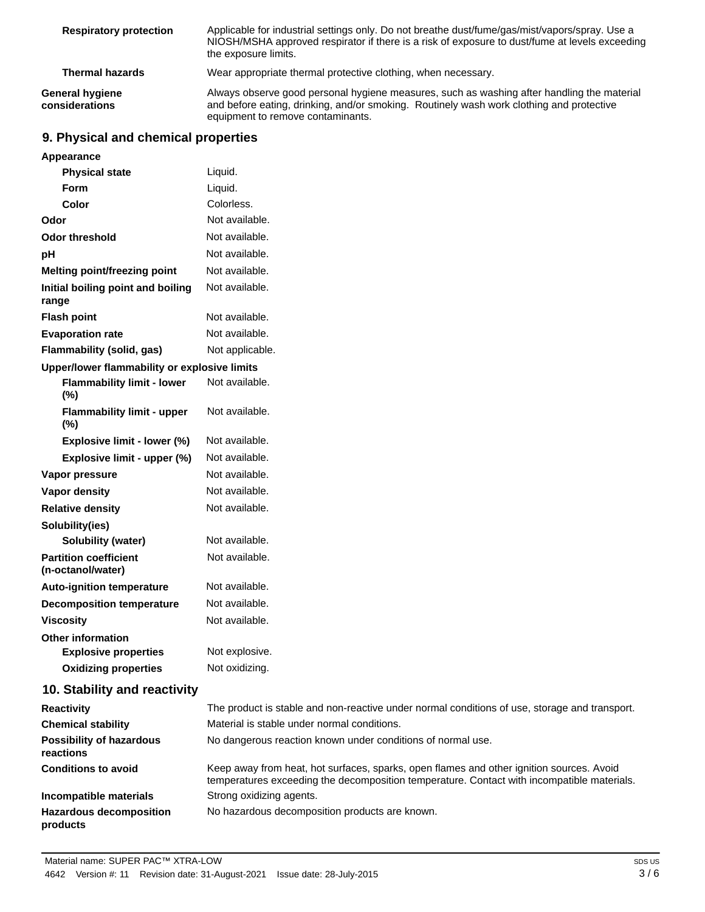| <b>Respiratory protection</b>     | Applicable for industrial settings only. Do not breathe dust/fume/gas/mist/vapors/spray. Use a<br>NIOSH/MSHA approved respirator if there is a risk of exposure to dust/fume at levels exceeding<br>the exposure limits.    |
|-----------------------------------|-----------------------------------------------------------------------------------------------------------------------------------------------------------------------------------------------------------------------------|
| <b>Thermal hazards</b>            | Wear appropriate thermal protective clothing, when necessary.                                                                                                                                                               |
| General hygiene<br>considerations | Always observe good personal hygiene measures, such as washing after handling the material<br>and before eating, drinking, and/or smoking. Routinely wash work clothing and protective<br>equipment to remove contaminants. |

# **9. Physical and chemical properties**

| Appearance                                        |                                                                                                                                                                                        |
|---------------------------------------------------|----------------------------------------------------------------------------------------------------------------------------------------------------------------------------------------|
| <b>Physical state</b>                             | Liquid.                                                                                                                                                                                |
| <b>Form</b>                                       | Liquid.                                                                                                                                                                                |
| Color                                             | Colorless.                                                                                                                                                                             |
| Odor                                              | Not available.                                                                                                                                                                         |
| <b>Odor threshold</b>                             | Not available.                                                                                                                                                                         |
| pH                                                | Not available.                                                                                                                                                                         |
| Melting point/freezing point                      | Not available.                                                                                                                                                                         |
| Initial boiling point and boiling<br>range        | Not available.                                                                                                                                                                         |
| <b>Flash point</b>                                | Not available.                                                                                                                                                                         |
| <b>Evaporation rate</b>                           | Not available.                                                                                                                                                                         |
| Flammability (solid, gas)                         | Not applicable.                                                                                                                                                                        |
| Upper/lower flammability or explosive limits      |                                                                                                                                                                                        |
| <b>Flammability limit - lower</b><br>$(\%)$       | Not available.                                                                                                                                                                         |
| <b>Flammability limit - upper</b><br>(%)          | Not available.                                                                                                                                                                         |
| Explosive limit - lower (%)                       | Not available.                                                                                                                                                                         |
| Explosive limit - upper (%)                       | Not available.                                                                                                                                                                         |
| Vapor pressure                                    | Not available.                                                                                                                                                                         |
| <b>Vapor density</b>                              | Not available.                                                                                                                                                                         |
| <b>Relative density</b>                           | Not available.                                                                                                                                                                         |
| Solubility(ies)                                   |                                                                                                                                                                                        |
| <b>Solubility (water)</b>                         | Not available.                                                                                                                                                                         |
| <b>Partition coefficient</b><br>(n-octanol/water) | Not available.                                                                                                                                                                         |
| <b>Auto-ignition temperature</b>                  | Not available.                                                                                                                                                                         |
| <b>Decomposition temperature</b>                  | Not available.                                                                                                                                                                         |
| <b>Viscosity</b>                                  | Not available.                                                                                                                                                                         |
| <b>Other information</b>                          |                                                                                                                                                                                        |
| <b>Explosive properties</b>                       | Not explosive.                                                                                                                                                                         |
| <b>Oxidizing properties</b>                       | Not oxidizing.                                                                                                                                                                         |
| 10. Stability and reactivity                      |                                                                                                                                                                                        |
| <b>Reactivity</b>                                 | The product is stable and non-reactive under normal conditions of use, storage and transport.                                                                                          |
| <b>Chemical stability</b>                         | Material is stable under normal conditions.                                                                                                                                            |
| <b>Possibility of hazardous</b><br>reactions      | No dangerous reaction known under conditions of normal use.                                                                                                                            |
| <b>Conditions to avoid</b>                        | Keep away from heat, hot surfaces, sparks, open flames and other ignition sources. Avoid<br>temperatures exceeding the decomposition temperature. Contact with incompatible materials. |
| Incompatible materials                            | Strong oxidizing agents.                                                                                                                                                               |
| <b>Hazardous decomposition</b><br>products        | No hazardous decomposition products are known.                                                                                                                                         |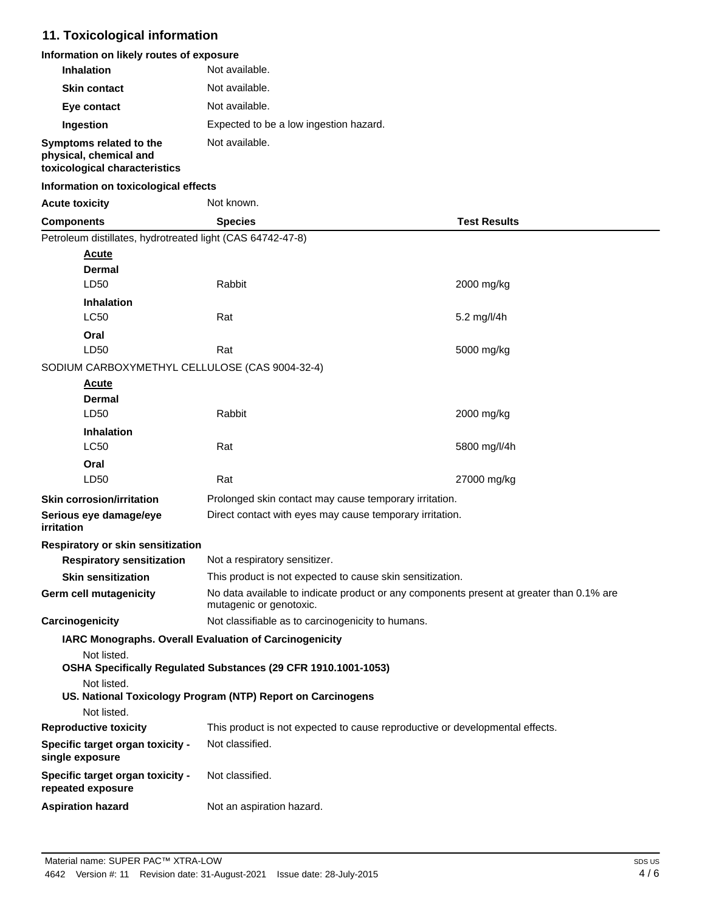# **11. Toxicological information**

| Information on likely routes of exposure |  |
|------------------------------------------|--|
|------------------------------------------|--|

| <b>Inhalation</b>       | Not available.                         |
|-------------------------|----------------------------------------|
| <b>Skin contact</b>     | Not available.                         |
| Eye contact             | Not available.                         |
| Ingestion               | Expected to be a low ingestion hazard. |
| Symptoms related to the | Not available.                         |

### **physical, chemical and toxicological characteristics**

### **Information on toxicological effects**

| <b>Acute toxicity</b> |
|-----------------------|
|                       |

**Not known** 

| <b>Components</b>                                          | <b>Species</b>                                                                                                      | <b>Test Results</b>                                                          |  |
|------------------------------------------------------------|---------------------------------------------------------------------------------------------------------------------|------------------------------------------------------------------------------|--|
| Petroleum distillates, hydrotreated light (CAS 64742-47-8) |                                                                                                                     |                                                                              |  |
| <u>Acute</u>                                               |                                                                                                                     |                                                                              |  |
| <b>Dermal</b>                                              |                                                                                                                     |                                                                              |  |
| LD50                                                       | Rabbit                                                                                                              | 2000 mg/kg                                                                   |  |
| <b>Inhalation</b>                                          |                                                                                                                     |                                                                              |  |
| <b>LC50</b>                                                | Rat                                                                                                                 | 5.2 mg/l/4h                                                                  |  |
| Oral                                                       |                                                                                                                     |                                                                              |  |
| LD50                                                       | Rat                                                                                                                 | 5000 mg/kg                                                                   |  |
| SODIUM CARBOXYMETHYL CELLULOSE (CAS 9004-32-4)             |                                                                                                                     |                                                                              |  |
| <u>Acute</u>                                               |                                                                                                                     |                                                                              |  |
| <b>Dermal</b>                                              |                                                                                                                     |                                                                              |  |
| LD50                                                       | Rabbit                                                                                                              | 2000 mg/kg                                                                   |  |
| <b>Inhalation</b>                                          |                                                                                                                     |                                                                              |  |
| <b>LC50</b>                                                | Rat                                                                                                                 | 5800 mg/l/4h                                                                 |  |
| Oral<br>LD <sub>50</sub>                                   | Rat                                                                                                                 |                                                                              |  |
|                                                            |                                                                                                                     | 27000 mg/kg                                                                  |  |
| <b>Skin corrosion/irritation</b>                           | Prolonged skin contact may cause temporary irritation.                                                              |                                                                              |  |
| Serious eye damage/eye<br>irritation                       | Direct contact with eyes may cause temporary irritation.                                                            |                                                                              |  |
| <b>Respiratory or skin sensitization</b>                   |                                                                                                                     |                                                                              |  |
| <b>Respiratory sensitization</b>                           | Not a respiratory sensitizer.                                                                                       |                                                                              |  |
| <b>Skin sensitization</b>                                  | This product is not expected to cause skin sensitization.                                                           |                                                                              |  |
| <b>Germ cell mutagenicity</b>                              | No data available to indicate product or any components present at greater than 0.1% are<br>mutagenic or genotoxic. |                                                                              |  |
| Carcinogenicity                                            | Not classifiable as to carcinogenicity to humans.                                                                   |                                                                              |  |
| Not listed.                                                | IARC Monographs. Overall Evaluation of Carcinogenicity                                                              |                                                                              |  |
|                                                            | OSHA Specifically Regulated Substances (29 CFR 1910.1001-1053)                                                      |                                                                              |  |
| Not listed.                                                |                                                                                                                     |                                                                              |  |
|                                                            | US. National Toxicology Program (NTP) Report on Carcinogens                                                         |                                                                              |  |
| Not listed.                                                |                                                                                                                     |                                                                              |  |
| <b>Reproductive toxicity</b>                               |                                                                                                                     | This product is not expected to cause reproductive or developmental effects. |  |
| Specific target organ toxicity -<br>single exposure        | Not classified.                                                                                                     |                                                                              |  |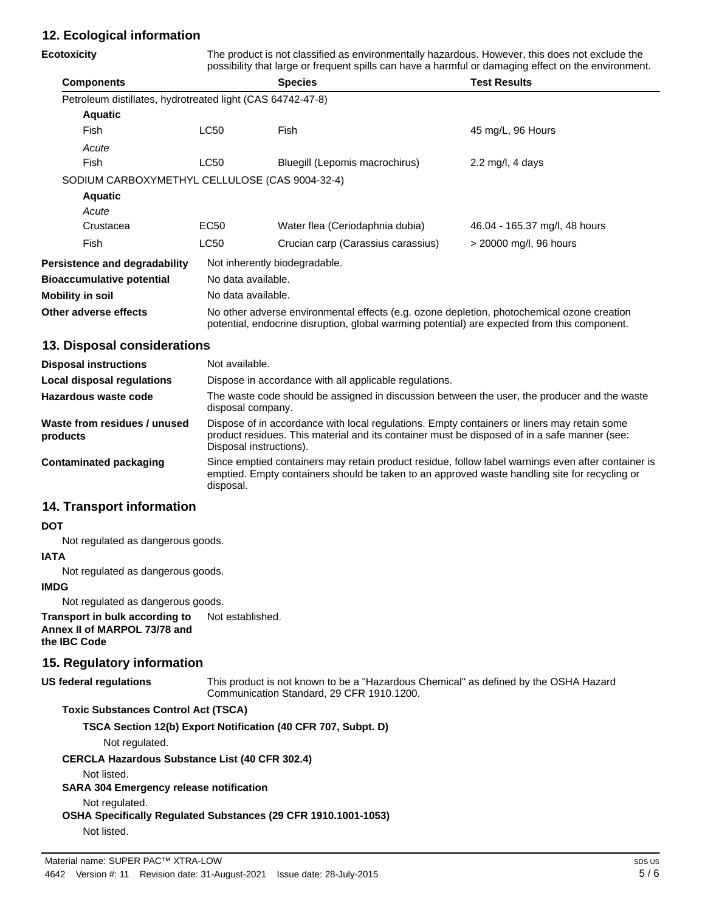# **12. Ecological information**

| Ecotoxicity                                                |                                                                                                                                                                                                                        | The product is not classified as environmentally hazardous. However, this does not exclude the<br>possibility that large or frequent spills can have a harmful or damaging effect on the environment. |                               |  |
|------------------------------------------------------------|------------------------------------------------------------------------------------------------------------------------------------------------------------------------------------------------------------------------|-------------------------------------------------------------------------------------------------------------------------------------------------------------------------------------------------------|-------------------------------|--|
| <b>Components</b>                                          |                                                                                                                                                                                                                        | <b>Species</b>                                                                                                                                                                                        | <b>Test Results</b>           |  |
| Petroleum distillates, hydrotreated light (CAS 64742-47-8) |                                                                                                                                                                                                                        |                                                                                                                                                                                                       |                               |  |
| <b>Aquatic</b>                                             |                                                                                                                                                                                                                        |                                                                                                                                                                                                       |                               |  |
| Fish                                                       | <b>LC50</b>                                                                                                                                                                                                            | Fish                                                                                                                                                                                                  | 45 mg/L, 96 Hours             |  |
| Acute                                                      |                                                                                                                                                                                                                        |                                                                                                                                                                                                       |                               |  |
| Fish                                                       | <b>LC50</b>                                                                                                                                                                                                            | Bluegill (Lepomis macrochirus)                                                                                                                                                                        | 2.2 mg/l, 4 days              |  |
| SODIUM CARBOXYMETHYL CELLULOSE (CAS 9004-32-4)             |                                                                                                                                                                                                                        |                                                                                                                                                                                                       |                               |  |
| <b>Aquatic</b>                                             |                                                                                                                                                                                                                        |                                                                                                                                                                                                       |                               |  |
| Acute                                                      |                                                                                                                                                                                                                        |                                                                                                                                                                                                       |                               |  |
| Crustacea                                                  | EC <sub>50</sub>                                                                                                                                                                                                       | Water flea (Ceriodaphnia dubia)                                                                                                                                                                       | 46.04 - 165.37 mg/l, 48 hours |  |
| Fish                                                       | LC50                                                                                                                                                                                                                   | Crucian carp (Carassius carassius)                                                                                                                                                                    | > 20000 mg/l, 96 hours        |  |
| <b>Persistence and degradability</b>                       | Not inherently biodegradable.                                                                                                                                                                                          |                                                                                                                                                                                                       |                               |  |
| <b>Bioaccumulative potential</b>                           | No data available.                                                                                                                                                                                                     |                                                                                                                                                                                                       |                               |  |
| Mobility in soil                                           | No data available.                                                                                                                                                                                                     |                                                                                                                                                                                                       |                               |  |
| Other adverse effects                                      | No other adverse environmental effects (e.g. ozone depletion, photochemical ozone creation<br>potential, endocrine disruption, global warming potential) are expected from this component.                             |                                                                                                                                                                                                       |                               |  |
| 13. Disposal considerations                                |                                                                                                                                                                                                                        |                                                                                                                                                                                                       |                               |  |
| <b>Disposal instructions</b>                               | Not available.                                                                                                                                                                                                         |                                                                                                                                                                                                       |                               |  |
| <b>Local disposal regulations</b>                          | Dispose in accordance with all applicable regulations.                                                                                                                                                                 |                                                                                                                                                                                                       |                               |  |
| <b>Hazardous waste code</b>                                | The waste code should be assigned in discussion between the user, the producer and the waste<br>disposal company.                                                                                                      |                                                                                                                                                                                                       |                               |  |
| Waste from residues / unused<br>products                   | Dispose of in accordance with local regulations. Empty containers or liners may retain some<br>product residues. This material and its container must be disposed of in a safe manner (see:<br>Disposal instructions). |                                                                                                                                                                                                       |                               |  |
| <b>Contaminated packaging</b>                              | Since emptied containers may retain product residue, follow label warnings even after container is<br>emptied. Empty containers should be taken to an approved waste handling site for recycling or<br>disposal.       |                                                                                                                                                                                                       |                               |  |

# **14. Transport information**

#### **DOT**

Not regulated as dangerous goods.

### **IATA**

Not regulated as dangerous goods.

### **IMDG**

Not regulated as dangerous goods.

**Transport in bulk according to** Not established. **Annex II of MARPOL 73/78 and the IBC Code**

# **15. Regulatory information**

This product is not known to be a "Hazardous Chemical" as defined by the OSHA Hazard Communication Standard, 29 CFR 1910.1200. **US federal regulations**

### **Toxic Substances Control Act (TSCA)**

**TSCA Section 12(b) Export Notification (40 CFR 707, Subpt. D)**

Not regulated.

**CERCLA Hazardous Substance List (40 CFR 302.4)**

#### Not listed.

### **SARA 304 Emergency release notification**

Not regulated.

**OSHA Specifically Regulated Substances (29 CFR 1910.1001-1053)**

Not listed.